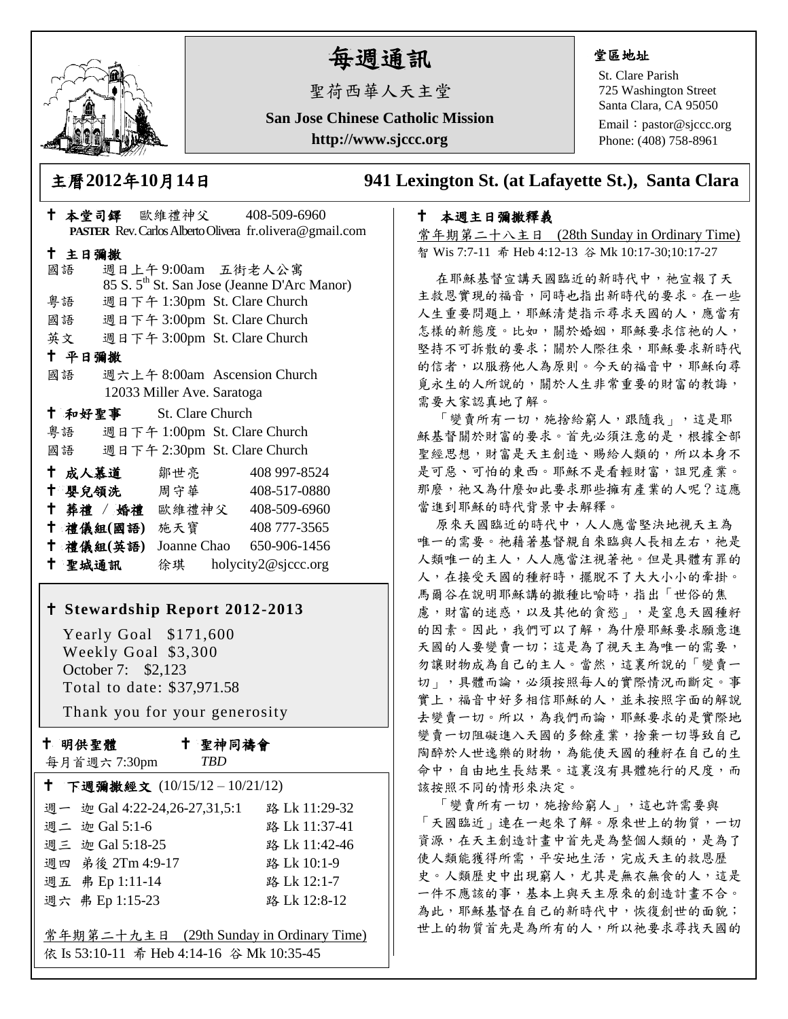

# 每週通訊

聖荷西華人天主堂

**San Jose Chinese Catholic Mission**

**http://www.sjccc.org**

# 堂區地址

St. Clare Parish 725 Washington Street Santa Clara, CA 95050

Email: [pastor@sjccc.org](mailto:pastor@sjccc.org) Phone: (408) 758-8961

主曆**2012**年**10**月**14**日 **941 Lexington St. (at Lafayette St.), Santa Clara** 

### 本週主日彌撒釋義

常年期第二十八主日 (28th Sunday in Ordinary Time) 智 Wis 7:7-11 希 Heb 4:12-13 谷 Mk 10:17-30;10:17-27

在耶穌基督宣講天國臨近的新時代中,祂宣報了天 主救恩實現的福音,同時也指出新時代的要求。在一些 人生重要問題上,耶穌清楚指示尋求天國的人,應當有 怎樣的新態度。比如,關於婚姻,耶穌要求信祂的人, 堅持不可拆散的要求;關於人際往來,耶穌要求新時代 的信者,以服務他人為原則。今天的福音中,耶穌向尋 覓永生的人所說的,關於人生非常重要的財富的教誨, 需要大家認真地了解。

「變賣所有一切,施捨給窮人,跟隨我」,這是耶 穌基督關於財富的要求。首先必須注意的是,根據全部 聖經思想,財富是天主創造、賜給人類的,所以本身不 是可惡、可怕的東西。耶穌不是看輕財富,詛咒產業。 那麼,祂又為什麼如此要求那些擁有產業的人呢?這應 當進到耶穌的時付背景中去解釋。

原來天國臨近的時代中,人人應當堅決地視天主為 唯一的需要。祂藉著基督親自來臨與人長相左右,祂是 人類唯一的主人,人人應當注視著祂。但是具體有罪的 人,在接受天國的種籽時,擺脫不了大大小小的牽掛。 馬爾谷在說明耶穌講的撒種比喻時,指出「世俗的焦 慮,財富的迷惑,以及其他的貪慾」,是窒息天國種籽 的因素。因此,我們可以了解,為什麼耶穌要求願意進 天國的人要變賣一切;這是為了視天主為唯一的需要, 勿讓財物成為自己的主人。當然,這裏所說的「變賣一 切」,具體而論,必須按照每人的實際情況而斷定。事 實上,福音中好多相信耶穌的人,並未按照字面的解說 去變賣一切。所以,為我們而論,耶穌要求的是實際地 變賣一切阻礙進入天國的多餘產業,捨棄一切導致自己 陶醉於人世逸樂的財物,為能使天國的種籽在自己的生 命中,自由地生長結果。這裏沒有具體施行的尺度,而 該按照不同的情形來決定。

「變賣所有一切,施捨給窮人」,這也許需要與 「天國臨近」連在一起來了解。原來世上的物質,一切 資源,在天主創造計畫中首先是為整個人類的,是為了 使人類能獲得所需,平安地生活,完成天主的救恩歷 史。人類歷史中出現窮人,尤其是無衣無食的人,這是 一件不應該的事,基本上與天主原來的創造計畫不合。 為此,耶穌基督在自己的新時代中,恢復創世的面貌; 世上的物質首先是為所有的人,所以祂要求尋找天國的

| PASTER Rev. Carlos Alberto Olivera fr.olivera@gmail.com |                         |                                 |  |  |
|---------------------------------------------------------|-------------------------|---------------------------------|--|--|
| 十 主日彌撒                                                  |                         |                                 |  |  |
| 國語                                                      |                         | 週日上午9:00am 五街老人公寓               |  |  |
| 85 S. 5 <sup>th</sup> St. San Jose (Jeanne D'Arc Manor) |                         |                                 |  |  |
| 粤語                                                      |                         | 週日下午 1:30pm St. Clare Church    |  |  |
|                                                         |                         | 國語 週日下午 3:00pm St. Clare Church |  |  |
|                                                         |                         | 英文 週日下午 3:00pm St. Clare Church |  |  |
| 十 平日彌撒                                                  |                         |                                 |  |  |
| 國語                                                      |                         | 週六上午 8:00am Ascension Church    |  |  |
| 12033 Miller Ave. Saratoga                              |                         |                                 |  |  |
|                                                         | + 和好聖事 St. Clare Church |                                 |  |  |
|                                                         |                         | 粤語 週日下午 1:00pm St. Clare Church |  |  |
| 國語 週日下午 2:30pm St. Clare Church                         |                         |                                 |  |  |
| 十 成人慕道                                                  | 鄒世亮                     | 408 997-8524                    |  |  |
|                                                         | † 嬰兒領洗──周守華──           | 408-517-0880                    |  |  |
|                                                         |                         | † 葬禮 / 婚禮 歐維禮神父 408-509-6960    |  |  |
|                                                         | † 禮儀組(國語) 施天寶           | 408 777-3565                    |  |  |
| 十 禮儀組(英語)                                               |                         | Joanne Chao 650-906-1456        |  |  |
|                                                         |                         |                                 |  |  |

本堂司鐸 歐維禮神父 408-509-6960

# **Stewardship Report 2012-2013**

聖城通訊 徐琪 holycity2@sjccc.org

 Yearly Goal \$171,600 Weekly Goal \$3,300 October 7: \$2,123 Total to date: \$37,971.58

Thank you for your generosity

十 明供聖體

每月首週六 7:30pm

 聖神同禱會 *TBD*

| ↑ 下週彌撒經文 (10/15/12-10/21/12)              |               |  |  |  |
|-------------------------------------------|---------------|--|--|--|
| 週一 迦 Gal 4:22-24,26-27,31,5:1             | 路 Lk 11:29-32 |  |  |  |
| 週二 迦 Gal 5:1-6                            | 路 Lk 11:37-41 |  |  |  |
| 週三 迦 Gal 5:18-25                          | 路 Lk 11:42-46 |  |  |  |
| 週四 弟後 2Tm 4:9-17                          | 路 Lk 10:1-9   |  |  |  |
| 週五 弗 Ep 1:11-14                           | 路 Lk 12:1-7   |  |  |  |
| 週六 弗 Ep 1:15-23                           | 路 Lk 12:8-12  |  |  |  |
|                                           |               |  |  |  |
| 常年期第二十九主日 (29th Sunday in Ordinary Time)  |               |  |  |  |
| 依 Is 53:10-11 希 Heb 4:14-16 谷 Mk 10:35-45 |               |  |  |  |